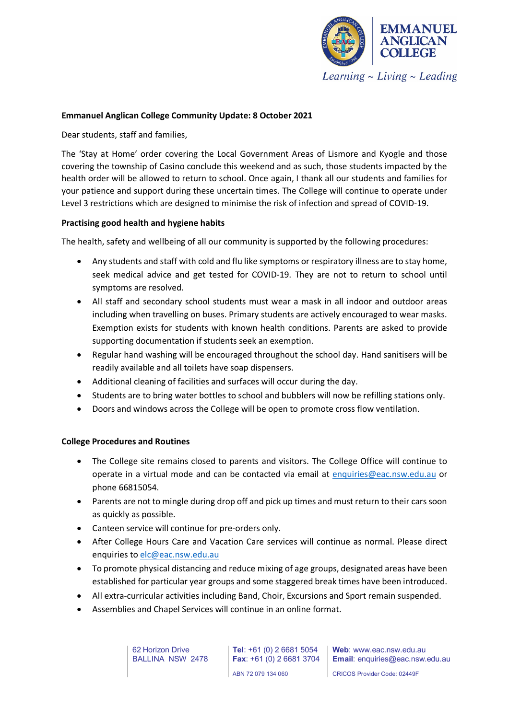

## **Emmanuel Anglican College Community Update: 8 October 2021**

Dear students, staff and families,

The 'Stay at Home' order covering the Local Government Areas of Lismore and Kyogle and those covering the township of Casino conclude this weekend and as such, those students impacted by the health order will be allowed to return to school. Once again, I thank all our students and families for your patience and support during these uncertain times. The College will continue to operate under Level 3 restrictions which are designed to minimise the risk of infection and spread of COVID-19.

## **Practising good health and hygiene habits**

The health, safety and wellbeing of all our community is supported by the following procedures:

- Any students and staff with cold and flu like symptoms or respiratory illness are to stay home, seek medical advice and get tested for COVID-19. They are not to return to school until symptoms are resolved.
- All staff and secondary school students must wear a mask in all indoor and outdoor areas including when travelling on buses. Primary students are actively encouraged to wear masks. Exemption exists for students with known health conditions. Parents are asked to provide supporting documentation if students seek an exemption.
- Regular hand washing will be encouraged throughout the school day. Hand sanitisers will be readily available and all toilets have soap dispensers.
- Additional cleaning of facilities and surfaces will occur during the day.
- Students are to bring water bottles to school and bubblers will now be refilling stations only.
- Doors and windows across the College will be open to promote cross flow ventilation.

## **College Procedures and Routines**

- The College site remains closed to parents and visitors. The College Office will continue to operate in a virtual mode and can be contacted via email at [enquiries@eac.nsw.edu.au](mailto:enquiries@eac.nsw.edu.au) or phone 66815054.
- Parents are not to mingle during drop off and pick up times and must return to their carssoon as quickly as possible.
- Canteen service will continue for pre-orders only.
- After College Hours Care and Vacation Care services will continue as normal. Please direct enquiries to [elc@eac.nsw.edu.au](mailto:elc@eac.nsw.edu.au)
- To promote physical distancing and reduce mixing of age groups, designated areas have been established for particular year groups and some staggered break times have been introduced.
- All extra-curricular activities including Band, Choir, Excursions and Sport remain suspended.
- Assemblies and Chapel Services will continue in an online format.

62 Horizon Drive BALLINA NSW 2478

**Tel**: +61 (0) 2 6681 5054 **Fax**: +61 (0) 2 6681 3704 ABN 72 079 134 060

**Web**: www.eac.nsw.edu.au **Email**: enquiries@eac.nsw.edu.au